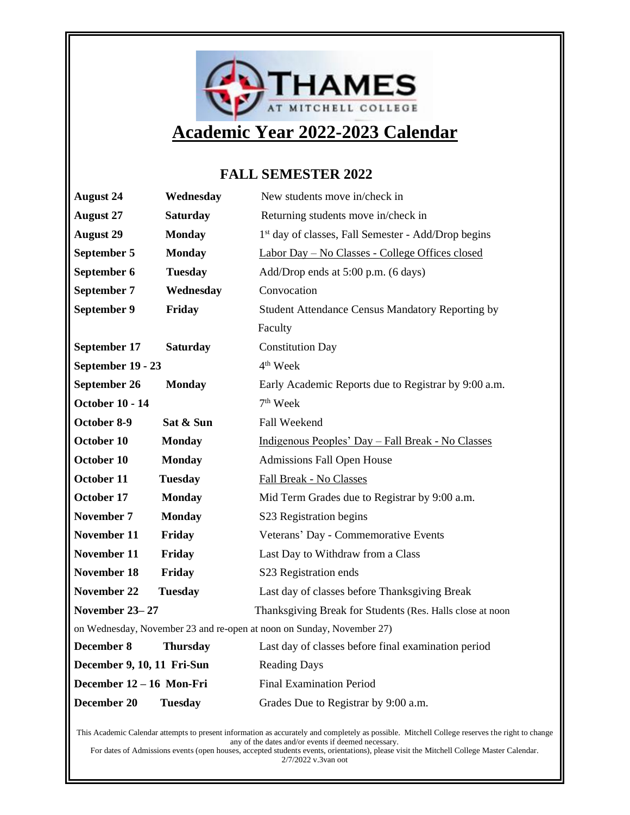

#### **FALL SEMESTER 2022**

| <b>August 24</b>                                                      | Wednesday       | New students move in/check in                                   |
|-----------------------------------------------------------------------|-----------------|-----------------------------------------------------------------|
| <b>August 27</b>                                                      | <b>Saturday</b> | Returning students move in/check in                             |
| <b>August 29</b>                                                      | <b>Monday</b>   | 1 <sup>st</sup> day of classes, Fall Semester - Add/Drop begins |
| September 5                                                           | <b>Monday</b>   | Labor Day - No Classes - College Offices closed                 |
| September 6                                                           | <b>Tuesday</b>  | Add/Drop ends at 5:00 p.m. (6 days)                             |
| September 7                                                           | Wednesday       | Convocation                                                     |
| September 9                                                           | Friday          | Student Attendance Census Mandatory Reporting by                |
|                                                                       |                 | Faculty                                                         |
| September 17                                                          | <b>Saturday</b> | <b>Constitution Day</b>                                         |
| September 19 - 23                                                     |                 | 4 <sup>th</sup> Week                                            |
| September 26                                                          | <b>Monday</b>   | Early Academic Reports due to Registrar by 9:00 a.m.            |
| <b>October 10 - 14</b>                                                |                 | 7 <sup>th</sup> Week                                            |
| October 8-9                                                           | Sat & Sun       | Fall Weekend                                                    |
| October 10                                                            | <b>Monday</b>   | Indigenous Peoples' Day - Fall Break - No Classes               |
| October 10                                                            | <b>Monday</b>   | <b>Admissions Fall Open House</b>                               |
| October 11                                                            | <b>Tuesday</b>  | Fall Break - No Classes                                         |
| October 17                                                            | <b>Monday</b>   | Mid Term Grades due to Registrar by 9:00 a.m.                   |
| November 7                                                            | <b>Monday</b>   | S23 Registration begins                                         |
| November 11                                                           | Friday          | Veterans' Day - Commemorative Events                            |
| November 11                                                           | Friday          | Last Day to Withdraw from a Class                               |
| <b>November 18</b>                                                    | Friday          | S23 Registration ends                                           |
| November 22                                                           | <b>Tuesday</b>  | Last day of classes before Thanksgiving Break                   |
| November 23-27                                                        |                 | Thanksgiving Break for Students (Res. Halls close at noon       |
| on Wednesday, November 23 and re-open at noon on Sunday, November 27) |                 |                                                                 |
| December 8                                                            | <b>Thursday</b> | Last day of classes before final examination period             |
| December 9, 10, 11 Fri-Sun                                            |                 | <b>Reading Days</b>                                             |
| December 12 - 16 Mon-Fri                                              |                 | <b>Final Examination Period</b>                                 |
| December 20                                                           | <b>Tuesday</b>  | Grades Due to Registrar by 9:00 a.m.                            |

This Academic Calendar attempts to present information as accurately and completely as possible. Mitchell College reserves the right to change any of the dates and/or events if deemed necessary. For dates of Admissions events (open houses, accepted students events, orientations), please visit the Mitchell College Master Calendar.

2/7/2022 v.3van oot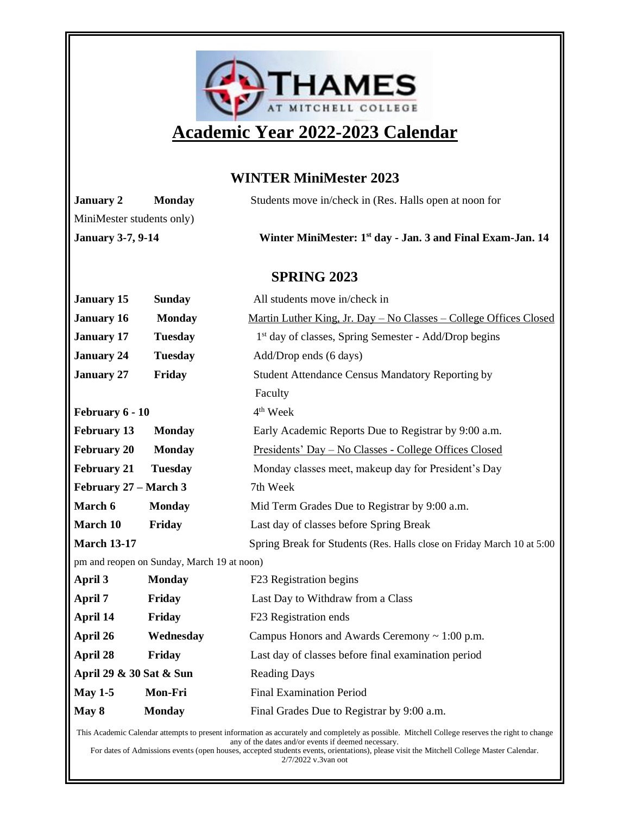

## **Academic Year 2022-2023 Calendar**

#### **WINTER MiniMester 2023**

| <b>January 2</b>                                                                                                 | <b>Monday</b>  | Students move in/check in (Res. Halls open at noon for                 |  |
|------------------------------------------------------------------------------------------------------------------|----------------|------------------------------------------------------------------------|--|
| MiniMester students only)                                                                                        |                |                                                                        |  |
| <b>January 3-7, 9-14</b>                                                                                         |                | Winter MiniMester: 1 <sup>st</sup> day - Jan. 3 and Final Exam-Jan. 14 |  |
|                                                                                                                  |                |                                                                        |  |
| <b>SPRING 2023</b>                                                                                               |                |                                                                        |  |
| <b>January 15</b>                                                                                                | <b>Sunday</b>  | All students move in/check in                                          |  |
| <b>January 16</b>                                                                                                | <b>Monday</b>  | Martin Luther King, Jr. Day - No Classes - College Offices Closed      |  |
| <b>January 17</b>                                                                                                | <b>Tuesday</b> | 1 <sup>st</sup> day of classes, Spring Semester - Add/Drop begins      |  |
| <b>January 24</b>                                                                                                | <b>Tuesday</b> | Add/Drop ends (6 days)                                                 |  |
| <b>January 27</b>                                                                                                | Friday         | Student Attendance Census Mandatory Reporting by                       |  |
|                                                                                                                  |                | Faculty                                                                |  |
| February 6 - 10                                                                                                  |                | 4 <sup>th</sup> Week                                                   |  |
| <b>February 13</b>                                                                                               | <b>Monday</b>  | Early Academic Reports Due to Registrar by 9:00 a.m.                   |  |
| <b>February 20</b>                                                                                               | <b>Monday</b>  | <u> Presidents' Day – No Classes - College Offices Closed</u>          |  |
| <b>February 21</b>                                                                                               | <b>Tuesday</b> | Monday classes meet, makeup day for President's Day                    |  |
| February 27 – March 3                                                                                            |                | 7th Week                                                               |  |
| March 6                                                                                                          | <b>Monday</b>  | Mid Term Grades Due to Registrar by 9:00 a.m.                          |  |
| March 10                                                                                                         | Friday         | Last day of classes before Spring Break                                |  |
| <b>March 13-17</b>                                                                                               |                | Spring Break for Students (Res. Halls close on Friday March 10 at 5:00 |  |
| pm and reopen on Sunday, March 19 at noon)                                                                       |                |                                                                        |  |
| April 3                                                                                                          | <b>Monday</b>  | F23 Registration begins                                                |  |
| April 7                                                                                                          | Friday         | Last Day to Withdraw from a Class                                      |  |
| April 14                                                                                                         | Friday         | F23 Registration ends                                                  |  |
| April 26                                                                                                         | Wednesday      | Campus Honors and Awards Ceremony ~ 1:00 p.m.                          |  |
| April 28                                                                                                         | Friday         | Last day of classes before final examination period                    |  |
| April 29 & 30 Sat & Sun                                                                                          |                | <b>Reading Days</b>                                                    |  |
| May $1-5$                                                                                                        | Mon-Fri        | <b>Final Examination Period</b>                                        |  |
| May 8                                                                                                            | <b>Monday</b>  | Final Grades Due to Registrar by 9:00 a.m.                             |  |
| damic Colondon ettempts to present information as acquired used completely as possible. Mitchell Collage reserve |                |                                                                        |  |

This Academic Calendar attempts to present information as accurately and completely as possible. Mitchell College reserves the right to change any of the dates and/or events if deemed necessary.

For dates of Admissions events (open houses, accepted students events, orientations), please visit the Mitchell College Master Calendar. 2/7/2022 v.3van oot